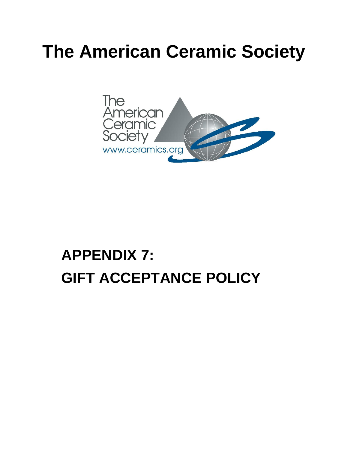# **The American Ceramic Society**



# **APPENDIX 7: GIFT ACCEPTANCE POLICY**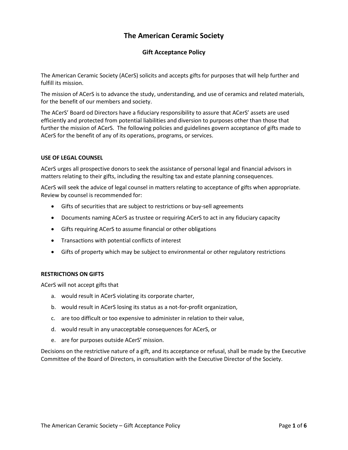### **The American Ceramic Society**

### **Gift Acceptance Policy**

The American Ceramic Society (ACerS) solicits and accepts gifts for purposes that will help further and fulfill its mission.

The mission of ACerS is to advance the study, understanding, and use of ceramics and related materials, for the benefit of our members and society.

The ACerS' Board od Directors have a fiduciary responsibility to assure that ACerS' assets are used efficiently and protected from potential liabilities and diversion to purposes other than those that further the mission of ACerS. The following policies and guidelines govern acceptance of gifts made to ACerS for the benefit of any of its operations, programs, or services.

### **USE OF LEGAL COUNSEL**

ACerS urges all prospective donors to seek the assistance of personal legal and financial advisors in matters relating to their gifts, including the resulting tax and estate planning consequences.

ACerS will seek the advice of legal counsel in matters relating to acceptance of gifts when appropriate. Review by counsel is recommended for:

- Gifts of securities that are subject to restrictions or buy-sell agreements
- Documents naming ACerS as trustee or requiring ACerS to act in any fiduciary capacity
- Gifts requiring ACerS to assume financial or other obligations
- Transactions with potential conflicts of interest
- Gifts of property which may be subject to environmental or other regulatory restrictions

### **RESTRICTIONS ON GIFTS**

ACerS will not accept gifts that

- a. would result in ACerS violating its corporate charter,
- b. would result in ACerS losing its status as a not-for-profit organization,
- c. are too difficult or too expensive to administer in relation to their value,
- d. would result in any unacceptable consequences for ACerS, or
- e. are for purposes outside ACerS' mission.

Decisions on the restrictive nature of a gift, and its acceptance or refusal, shall be made by the Executive Committee of the Board of Directors, in consultation with the Executive Director of the Society.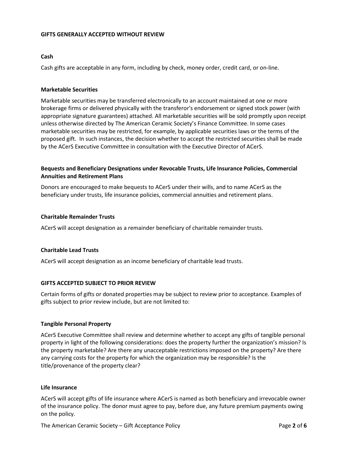### **GIFTS GENERALLY ACCEPTED WITHOUT REVIEW**

### **Cash**

Cash gifts are acceptable in any form, including by check, money order, credit card, or on-line.

### **Marketable Securities**

Marketable securities may be transferred electronically to an account maintained at one or more brokerage firms or delivered physically with the transferor's endorsement or signed stock power (with appropriate signature guarantees) attached. All marketable securities will be sold promptly upon receipt unless otherwise directed by The American Ceramic Society's Finance Committee. In some cases marketable securities may be restricted, for example, by applicable securities laws or the terms of the proposed gift. In such instances, the decision whether to accept the restricted securities shall be made by the ACerS Executive Committee in consultation with the Executive Director of ACerS.

### **Bequests and Beneficiary Designations under Revocable Trusts, Life Insurance Policies, Commercial Annuities and Retirement Plans**

Donors are encouraged to make bequests to ACerS under their wills, and to name ACerS as the beneficiary under trusts, life insurance policies, commercial annuities and retirement plans.

### **Charitable Remainder Trusts**

ACerS will accept designation as a remainder beneficiary of charitable remainder trusts.

### **Charitable Lead Trusts**

ACerS will accept designation as an income beneficiary of charitable lead trusts.

### **GIFTS ACCEPTED SUBJECT TO PRIOR REVIEW**

Certain forms of gifts or donated properties may be subject to review prior to acceptance. Examples of gifts subject to prior review include, but are not limited to:

### **Tangible Personal Property**

ACerS Executive Committee shall review and determine whether to accept any gifts of tangible personal property in light of the following considerations: does the property further the organization's mission? Is the property marketable? Are there any unacceptable restrictions imposed on the property? Are there any carrying costs for the property for which the organization may be responsible? Is the title/provenance of the property clear?

### **Life Insurance**

ACerS will accept gifts of life insurance where ACerS is named as both beneficiary and irrevocable owner of the insurance policy. The donor must agree to pay, before due, any future premium payments owing on the policy.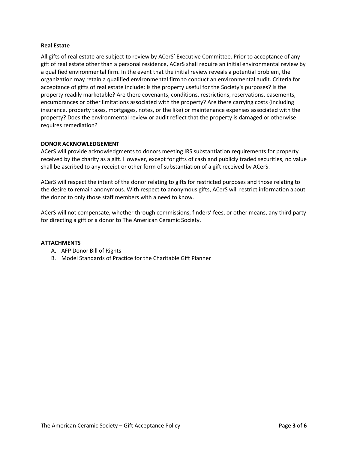### **Real Estate**

All gifts of real estate are subject to review by ACerS' Executive Committee. Prior to acceptance of any gift of real estate other than a personal residence, ACerS shall require an initial environmental review by a qualified environmental firm. In the event that the initial review reveals a potential problem, the organization may retain a qualified environmental firm to conduct an environmental audit. Criteria for acceptance of gifts of real estate include: Is the property useful for the Society's purposes? Is the property readily marketable? Are there covenants, conditions, restrictions, reservations, easements, encumbrances or other limitations associated with the property? Are there carrying costs (including insurance, property taxes, mortgages, notes, or the like) or maintenance expenses associated with the property? Does the environmental review or audit reflect that the property is damaged or otherwise requires remediation?

### **DONOR ACKNOWLEDGEMENT**

ACerS will provide acknowledgments to donors meeting IRS substantiation requirements for property received by the charity as a gift. However, except for gifts of cash and publicly traded securities, no value shall be ascribed to any receipt or other form of substantiation of a gift received by ACerS.

ACerS will respect the intent of the donor relating to gifts for restricted purposes and those relating to the desire to remain anonymous. With respect to anonymous gifts, ACerS will restrict information about the donor to only those staff members with a need to know.

ACerS will not compensate, whether through commissions, finders' fees, or other means, any third party for directing a gift or a donor to The American Ceramic Society.

### **ATTACHMENTS**

- A. AFP Donor Bill of Rights
- B. Model Standards of Practice for the Charitable Gift Planner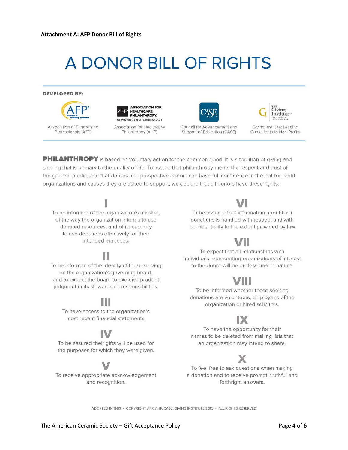## A DONOR BILL OF RIGHTS

### **DEVELOPED BY:**





**ASSOCIATION FOR HEALTHCARE** PHILANTHROPY. ople · Enriching Livi

Association for Healthcare

Philanthropy (AHP)



Council for Advancement and Support of Education (CASE)



Giving Institute: Leading Consultants to Non-Profits

**PHILANTHROPY** is based on voluntary action for the common good. It is a tradition of giving and sharing that is primary to the quality of life. To assure that philanthropy merits the respect and trust of the general public, and that donors and prospective donors can have full confidence in the not-for-profit organizations and causes they are asked to support, we declare that all donors have these rights:

To be informed of the organization's mission, of the way the organization intends to use donated resources, and of its capacity to use donations effectively for their intended purposes.

Ш

To be informed of the identity of those serving

on the organization's governing board, and to expect the board to exercise prudent judgment in its stewardship responsibilities.

ш

To have access to the organization's most recent financial statements.

To be assured their gifts will be used for

the purposes for which they were given.

To receive appropriate acknowledgement

and recognition.

To be assured that information about their donations is handled with respect and with confidentiality to the extent provided by law.

To expect that all relationships with individuals representing organizations of interest to the donor will be professional in nature.

To be informed whether those seeking donations are volunteers, employees of the organization or hired solicitors.

## $\mathbb{R}$

To have the opportunity for their names to be deleted from mailing lists that an organization may intend to share.

To feel free to ask questions when making a donation and to receive prompt, truthful and forthright answers.

ADOPTED IN 1993 · COPYRIGHT AFP, AHP, CASE, GIVING INSTITUTE 2015 · ALL RIGHTS RESERVED

### The American Ceramic Society – Gift Acceptance Policy Page **4** of **6**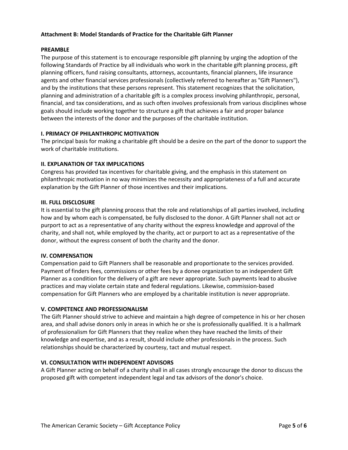### **Attachment B: Model Standards of Practice for the Charitable Gift Planner**

### **PREAMBLE**

The purpose of this statement is to encourage responsible gift planning by urging the adoption of the following Standards of Practice by all individuals who work in the charitable gift planning process, gift planning officers, fund raising consultants, attorneys, accountants, financial planners, life insurance agents and other financial services professionals (collectively referred to hereafter as "Gift Planners"), and by the institutions that these persons represent. This statement recognizes that the solicitation, planning and administration of a charitable gift is a complex process involving philanthropic, personal, financial, and tax considerations, and as such often involves professionals from various disciplines whose goals should include working together to structure a gift that achieves a fair and proper balance between the interests of the donor and the purposes of the charitable institution.

### **I. PRIMACY OF PHILANTHROPIC MOTIVATION**

The principal basis for making a charitable gift should be a desire on the part of the donor to support the work of charitable institutions.

### **II. EXPLANATION OF TAX IMPLICATIONS**

Congress has provided tax incentives for charitable giving, and the emphasis in this statement on philanthropic motivation in no way minimizes the necessity and appropriateness of a full and accurate explanation by the Gift Planner of those incentives and their implications.

### **III. FULL DISCLOSURE**

It is essential to the gift planning process that the role and relationships of all parties involved, including how and by whom each is compensated, be fully disclosed to the donor. A Gift Planner shall not act or purport to act as a representative of any charity without the express knowledge and approval of the charity, and shall not, while employed by the charity, act or purport to act as a representative of the donor, without the express consent of both the charity and the donor.

### **IV. COMPENSATION**

Compensation paid to Gift Planners shall be reasonable and proportionate to the services provided. Payment of finders fees, commissions or other fees by a donee organization to an independent Gift Planner as a condition for the delivery of a gift are never appropriate. Such payments lead to abusive practices and may violate certain state and federal regulations. Likewise, commission-based compensation for Gift Planners who are employed by a charitable institution is never appropriate.

### **V. COMPETENCE AND PROFESSIONALISM**

The Gift Planner should strive to achieve and maintain a high degree of competence in his or her chosen area, and shall advise donors only in areas in which he or she is professionally qualified. It is a hallmark of professionalism for Gift Planners that they realize when they have reached the limits of their knowledge and expertise, and as a result, should include other professionals in the process. Such relationships should be characterized by courtesy, tact and mutual respect.

### **VI. CONSULTATION WITH INDEPENDENT ADVISORS**

A Gift Planner acting on behalf of a charity shall in all cases strongly encourage the donor to discuss the proposed gift with competent independent legal and tax advisors of the donor's choice.